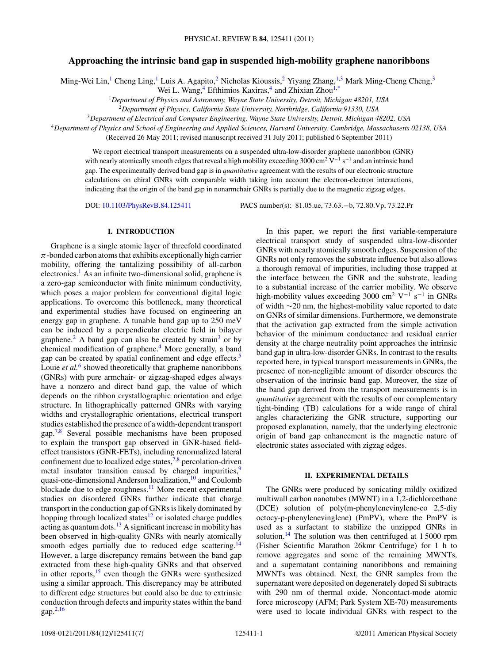# **Approaching the intrinsic band gap in suspended high-mobility graphene nanoribbons**

Ming-Wei Lin,<sup>1</sup> Cheng Ling,<sup>1</sup> Luis A. Agapito,<sup>2</sup> Nicholas Kioussis,<sup>2</sup> Yiyang Zhang,<sup>1,3</sup> Mark Ming-Cheng Cheng,<sup>3</sup>

Wei L. Wang,  $4$  Efthimios Kaxiras,  $4$  and Zhixian Zhou<sup>1[,\\*](#page-6-0)</sup>

<sup>1</sup>*Department of Physics and Astronomy, Wayne State University, Detroit, Michigan 48201, USA*

<sup>2</sup>*Department of Physics, California State University, Northridge, California 91330, USA*

<sup>3</sup>*Department of Electrical and Computer Engineering, Wayne State University, Detroit, Michigan 48202, USA*

<sup>4</sup>*Department of Physics and School of Engineering and Applied Sciences, Harvard University, Cambridge, Massachusetts 02138, USA*

(Received 26 May 2011; revised manuscript received 31 July 2011; published 6 September 2011)

We report electrical transport measurements on a suspended ultra-low-disorder graphene nanoribbon (GNR) with nearly atomically smooth edges that reveal a high mobility exceeding 3000 cm<sup>2</sup> V<sup>-1</sup> s<sup>-1</sup> and an intrinsic band gap. The experimentally derived band gap is in *quantitative* agreement with the results of our electronic structure calculations on chiral GNRs with comparable width taking into account the electron-electron interactions, indicating that the origin of the band gap in nonarmchair GNRs is partially due to the magnetic zigzag edges.

DOI: [10.1103/PhysRevB.84.125411](http://dx.doi.org/10.1103/PhysRevB.84.125411) PACS number(s): 81*.*05*.*ue, 73*.*63*.*−b, 72*.*80*.*Vp, 73*.*22*.*Pr

### **I. INTRODUCTION**

Graphene is a single atomic layer of threefold coordinated *π*-bonded carbon atoms that exhibits exceptionally high carrier mobility, offering the tantalizing possibility of all-carbon electronics.<sup>[1](#page-6-0)</sup> As an infinite two-dimensional solid, graphene is a zero-gap semiconductor with finite minimum conductivity, which poses a major problem for conventional digital logic applications. To overcome this bottleneck, many theoretical and experimental studies have focused on engineering an energy gap in graphene. A tunable band gap up to 250 meV can be induced by a perpendicular electric field in bilayer graphene.<sup>2</sup> A band gap can also be created by strain<sup>[3](#page-6-0)</sup> or by chemical modification of graphene.[4](#page-6-0) More generally, a band gap can be created by spatial confinement and edge effects.<sup>[5](#page-6-0)</sup> Louie *et al.*<sup>[6](#page-6-0)</sup> showed theoretically that grapheme nanoribbons (GNRs) with pure armchair- or zigzag-shaped edges always have a nonzero and direct band gap, the value of which depends on the ribbon crystallographic orientation and edge structure. In lithographically patterned GNRs with varying widths and crystallographic orientations, electrical transport studies established the presence of a width-dependent transport gap.[7,8](#page-6-0) Several possible mechanisms have been proposed to explain the transport gap observed in GNR-based fieldeffect transistors (GNR-FETs), including renormalized lateral confinement due to localized edge states, $7,8$  percolation-driven metal insulator transition caused by charged impurities,<sup>9</sup> quasi-one-dimensional Anderson localization,<sup>[10](#page-6-0)</sup> and Coulomb blockade due to edge roughness.<sup>11</sup> More recent experimental studies on disordered GNRs further indicate that charge transport in the conduction gap of GNRs is likely dominated by hopping through localized states $12$  or isolated charge puddles acting as quantum dots. $13$  A significant increase in mobility has been observed in high-quality GNRs with nearly atomically smooth edges partially due to reduced edge scattering.<sup>[14](#page-6-0)</sup> However, a large discrepancy remains between the band gap extracted from these high-quality GNRs and that observed in other reports, $15$  even though the GNRs were synthesized using a similar approach. This discrepancy may be attributed to different edge structures but could also be due to extrinsic conduction through defects and impurity states within the band gap. $^{2,16}$  $^{2,16}$  $^{2,16}$ 

In this paper, we report the first variable-temperature electrical transport study of suspended ultra-low-disorder GNRs with nearly atomically smooth edges. Suspension of the GNRs not only removes the substrate influence but also allows a thorough removal of impurities, including those trapped at the interface between the GNR and the substrate, leading to a substantial increase of the carrier mobility. We observe high-mobility values exceeding 3000 cm<sup>2</sup> V<sup>-1</sup> s<sup>-1</sup> in GNRs of width ∼20 nm, the highest-mobility value reported to date on GNRs of similar dimensions. Furthermore, we demonstrate that the activation gap extracted from the simple activation behavior of the minimum conductance and residual carrier density at the charge neutrality point approaches the intrinsic band gap in ultra-low-disorder GNRs. In contrast to the results reported here, in typical transport measurements in GNRs, the presence of non-negligible amount of disorder obscures the observation of the intrinsic band gap. Moreover, the size of the band gap derived from the transport measurements is in *quantitative* agreement with the results of our complementary tight-binding (TB) calculations for a wide range of chiral angles characterizing the GNR structure, supporting our proposed explanation, namely, that the underlying electronic origin of band gap enhancement is the magnetic nature of electronic states associated with zigzag edges.

### **II. EXPERIMENTAL DETAILS**

The GNRs were produced by sonicating mildly oxidized multiwall carbon nanotubes (MWNT) in a 1,2-dichloroethane (DCE) solution of poly(m-phenylenevinylene-co 2,5-diy octocy-p-phenylenevinglene) (PmPV), where the PmPV is used as a surfactant to stabilize the unzipped GNRs in solution.<sup>[14](#page-6-0)</sup> The solution was then centrifuged at 15000 rpm (Fisher Scientific Marathon 26kmr Centrifuge) for 1 h to remove aggregates and some of the remaining MWNTs, and a supernatant containing nanoribbons and remaining MWNTs was obtained. Next, the GNR samples from the supernatant were deposited on degenerately doped Si subtracts with 290 nm of thermal oxide. Noncontact-mode atomic force microscopy (AFM; Park System XE-70) measurements were used to locate individual GNRs with respect to the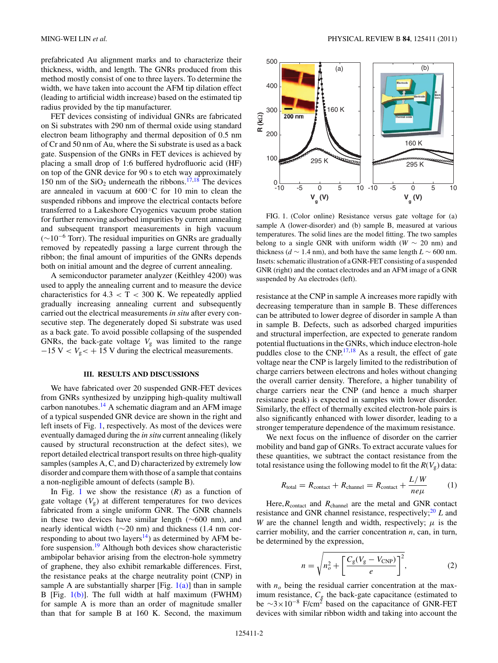<span id="page-1-0"></span>prefabricated Au alignment marks and to characterize their thickness, width, and length. The GNRs produced from this method mostly consist of one to three layers. To determine the width, we have taken into account the AFM tip dilation effect (leading to artificial width increase) based on the estimated tip radius provided by the tip manufacturer.

FET devices consisting of individual GNRs are fabricated on Si substrates with 290 nm of thermal oxide using standard electron beam lithography and thermal deposition of 0.5 nm of Cr and 50 nm of Au, where the Si substrate is used as a back gate. Suspension of the GNRs in FET devices is achieved by placing a small drop of 1:6 buffered hydrofluoric acid (HF) on top of the GNR device for 90 s to etch way approximately 150 nm of the  $SiO<sub>2</sub>$  underneath the ribbons.<sup>[17,18](#page-6-0)</sup> The devices are annealed in vacuum at 600 ◦C for 10 min to clean the suspended ribbons and improve the electrical contacts before transferred to a Lakeshore Cryogenics vacuum probe station for further removing adsorbed impurities by current annealing and subsequent transport measurements in high vacuum  $(\sim 10^{-6}$  Torr). The residual impurities on GNRs are gradually removed by repeatedly passing a large current through the ribbon; the final amount of impurities of the GNRs depends both on initial amount and the degree of current annealing.

A semiconductor parameter analyzer (Keithley 4200) was used to apply the annealing current and to measure the device characteristics for  $4.3 < T < 300$  K. We repeatedly applied gradually increasing annealing current and subsequently carried out the electrical measurements *in situ* after every consecutive step. The degenerately doped Si substrate was used as a back gate. To avoid possible collapsing of the suspended GNRs, the back-gate voltage  $V<sub>g</sub>$  was limited to the range  $-15$  V  $<$   $V_g$  $<$  + 15 V during the electrical measurements.

## **III. RESULTS AND DISCUSSIONS**

We have fabricated over 20 suspended GNR-FET devices from GNRs synthesized by unzipping high-quality multiwall carbon nanotubes. $^{14}$  $^{14}$  $^{14}$  A schematic diagram and an AFM image of a typical suspended GNR device are shown in the right and left insets of Fig. 1, respectively. As most of the devices were eventually damaged during the *in situ* current annealing (likely caused by structural reconstruction at the defect sites), we report detailed electrical transport results on three high-quality samples (samples A, C, and D) characterized by extremely low disorder and compare them with those of a sample that contains a non-negligible amount of defects (sample B).

In Fig. 1 we show the resistance  $(R)$  as a function of gate voltage  $(V_g)$  at different temperatures for two devices fabricated from a single uniform GNR. The GNR channels in these two devices have similar length (∼600 nm), and nearly identical width (∼20 nm) and thickness (1.4 nm corresponding to about two layers<sup>14</sup>) as determined by AFM be-fore suspension.<sup>[19](#page-6-0)</sup> Although both devices show characteristic ambipolar behavior arising from the electron-hole symmetry of graphene, they also exhibit remarkable differences. First, the resistance peaks at the charge neutrality point (CNP) in sample A are substantially sharper [Fig.  $1(a)$ ] than in sample B [Fig. 1(b)]. The full width at half maximum (FWHM) for sample A is more than an order of magnitude smaller than that for sample B at 160 K. Second, the maximum



FIG. 1. (Color online) Resistance versus gate voltage for (a) sample A (lower-disorder) and (b) sample B, measured at various temperatures. The solid lines are the model fitting. The two samples belong to a single GNR with uniform width ( $W \sim 20$  nm) and thickness ( $d \sim 1.4$  nm), and both have the same length  $L \sim 600$  nm. Insets: schematic illustration of a GNR-FET consisting of a suspended GNR (right) and the contact electrodes and an AFM image of a GNR suspended by Au electrodes (left).

resistance at the CNP in sample A increases more rapidly with decreasing temperature than in sample B. These differences can be attributed to lower degree of disorder in sample A than in sample B. Defects, such as adsorbed charged impurities and structural imperfection, are expected to generate random potential fluctuations in the GNRs, which induce electron-hole puddles close to the  $CNP<sup>17,18</sup>$  As a result, the effect of gate voltage near the CNP is largely limited to the redistribution of charge carriers between electrons and holes without changing the overall carrier density. Therefore, a higher tunability of charge carriers near the CNP (and hence a much sharper resistance peak) is expected in samples with lower disorder. Similarly, the effect of thermally excited electron-hole pairs is also significantly enhanced with lower disorder, leading to a stronger temperature dependence of the maximum resistance.

We next focus on the influence of disorder on the carrier mobility and band gap of GNRs. To extract accurate values for these quantities, we subtract the contact resistance from the total resistance using the following model to fit the  $R(V_g)$  data:

$$
R_{\text{total}} = R_{\text{contact}} + R_{\text{channel}} = R_{\text{contact}} + \frac{L/W}{ne\mu} \tag{1}
$$

Here,  $R_{\text{contact}}$  and  $R_{\text{channel}}$  are the metal and GNR contact resistance and GNR channel resistance, respectively;<sup>[20](#page-6-0)</sup> *L* and *W* are the channel length and width, respectively;  $\mu$  is the carrier mobility, and the carrier concentration *n*, can, in turn, be determined by the expression,

$$
n = \sqrt{n_o^2 + \left[\frac{C_g(V_g - V_{\text{CNP}})}{e}\right]^2},\tag{2}
$$

with  $n<sub>o</sub>$  being the residual carrier concentration at the maximum resistance,  $C_g$  the back-gate capacitance (estimated to be  $\sim$ 3×10<sup>-8</sup> F/cm<sup>2</sup> based on the capacitance of GNR-FET devices with similar ribbon width and taking into account the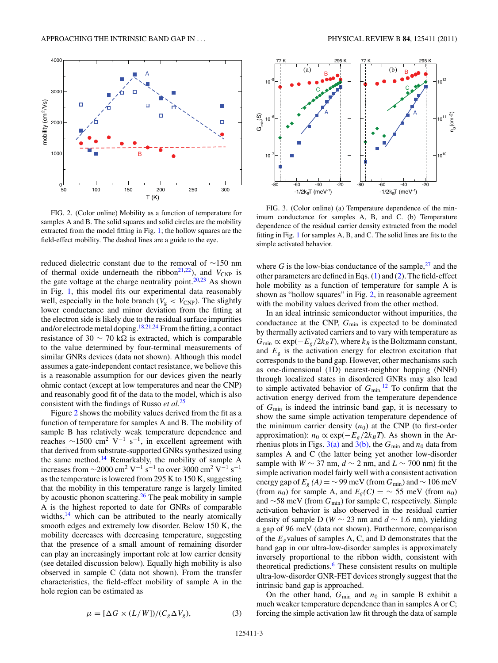<span id="page-2-0"></span>

FIG. 2. (Color online) Mobility as a function of temperature for samples A and B. The solid squares and solid circles are the mobility extracted from the model fitting in Fig. [1;](#page-1-0) the hollow squares are the field-effect mobility. The dashed lines are a guide to the eye.

reduced dielectric constant due to the removal of ∼150 nm of thermal oxide underneath the ribbon<sup>21,22</sup>), and  $V_{\text{CNP}}$  is the gate voltage at the charge neutrality point. $20,23$  As shown in Fig. [1,](#page-1-0) this model fits our experimental data reasonably well, especially in the hole branch ( $V_g < V_{\text{CNP}}$ ). The slightly lower conductance and minor deviation from the fitting at the electron side is likely due to the residual surface impurities and/or electrode metal doping.<sup>18,21,24</sup> From the fitting, a contact resistance of 30  $\sim$  70 kΩ is extracted, which is comparable to the value determined by four-terminal measurements of similar GNRs devices (data not shown). Although this model assumes a gate-independent contact resistance, we believe this is a reasonable assumption for our devices given the nearly ohmic contact (except at low temperatures and near the CNP) and reasonably good fit of the data to the model, which is also consistent with the findings of Russo *et al.*[25](#page-6-0)

Figure 2 shows the mobility values derived from the fit as a function of temperature for samples A and B. The mobility of sample B has relatively weak temperature dependence and reaches  $\sim$ 1500 cm<sup>2</sup> V<sup>-1</sup> s<sup>-1</sup>, in excellent agreement with that derived from substrate-supported GNRs synthesized using the same method.[14](#page-6-0) Remarkably, the mobility of sample A increases from  $\sim$ 2000 cm<sup>2</sup> V<sup>-1</sup> s<sup>-1</sup> to over 3000 cm<sup>2</sup> V<sup>-1</sup> s<sup>-1</sup> as the temperature is lowered from 295 K to 150 K, suggesting that the mobility in this temperature range is largely limited by acoustic phonon scattering. $^{26}$  $^{26}$  $^{26}$  The peak mobility in sample A is the highest reported to date for GNRs of comparable widths, $14$  which can be attributed to the nearly atomically smooth edges and extremely low disorder. Below 150 K, the mobility decreases with decreasing temperature, suggesting that the presence of a small amount of remaining disorder can play an increasingly important role at low carrier density (see detailed discussion below). Equally high mobility is also observed in sample C (data not shown). From the transfer characteristics, the field-effect mobility of sample A in the hole region can be estimated as

 $\mu = [\Delta G \times (L/W])/(C_g \Delta V_g),$  (3)



conductance at the CNP,  $G_{\text{min}}$  is expected to be dominated by thermally activated carriers and to vary with temperature as  $G_{\text{min}} \propto \exp(-E_g/2k_BT)$ , where  $k_B$  is the Boltzmann constant, and  $E_g$  is the activation energy for electron excitation that corresponds to the band gap. However, other mechanisms such as one-dimensional (1D) nearest-neighbor hopping (NNH) through localized states in disordered GNRs may also lead to simple activated behavior of  $G_{\text{min}}$ <sup>[12](#page-6-0)</sup> To confirm that the activation energy derived from the temperature dependence of *G*min is indeed the intrinsic band gap, it is necessary to show the same simple activation temperature dependence of the minimum carrier density  $(n_0)$  at the CNP (to first-order approximation):  $n_0 \propto \exp(-E_g/2k_BT)$ . As shown in the Arrhenius plots in Figs.  $3(a)$  and  $3(b)$ , the  $G_{min}$  and  $n_0$  data from samples A and C (the latter being yet another low-disorder sample with *W* ∼ 37 nm,  $d$  ∼ 2 nm, and  $L$  ∼ 700 nm) fit the simple activation model fairly well with a consistent activation energy gap of  $E_g(A) = \sim 99$  meV (from  $G_{\text{min}}$ ) and  $\sim 106$  meV (from *n*<sub>0</sub>) for sample A, and  $E_g(C) = \sim 55$  meV (from *n*<sub>0</sub>) and ∼58 meV (from *G*min) for sample C, respectively. Simple activation behavior is also observed in the residual carrier density of sample D (*W* ∼ 23 nm and *d* ∼ 1.6 nm), yielding a gap of 96 meV (data not shown). Furthermore, comparison of the *Eg*values of samples A, C, and D demonstrates that the band gap in our ultra-low-disorder samples is approximately inversely proportional to the ribbon width, consistent with theoretical predictions.<sup>6</sup> These consistent results on multiple ultra-low-disorder GNR-FET devices strongly suggest that the intrinsic band gap is approached.

On the other hand,  $G_{\text{min}}$  and  $n_0$  in sample B exhibit a much weaker temperature dependence than in samples A or C; forcing the simple activation law fit through the data of sample

-80 -60 -40 -20  $-1/2k_BT$  (meV $^{-1}$ )  $10^{-7}$ @<br>\_\_<br>ຫ້  $10^{-5}$ -80 -60 -40 -20  $-1/2k_BT$  (meV<sup>-1</sup>)  $10^{10}$ 10'' 10<sup>12</sup>  $n_{\rm o}$  (cm -2) 77 K 295 K بہ 77 K 295 K A B C A B C (a) (b) -5 -6 -7 10 10 10 11 12

FIG. 3. (Color online) (a) Temperature dependence of the minimum conductance for samples A, B, and C. (b) Temperature dependence of the residual carrier density extracted from the model fitting in Fig. [1](#page-1-0) for samples A, B, and C. The solid lines are fits to the simple activated behavior.

$$
125411-3\\
$$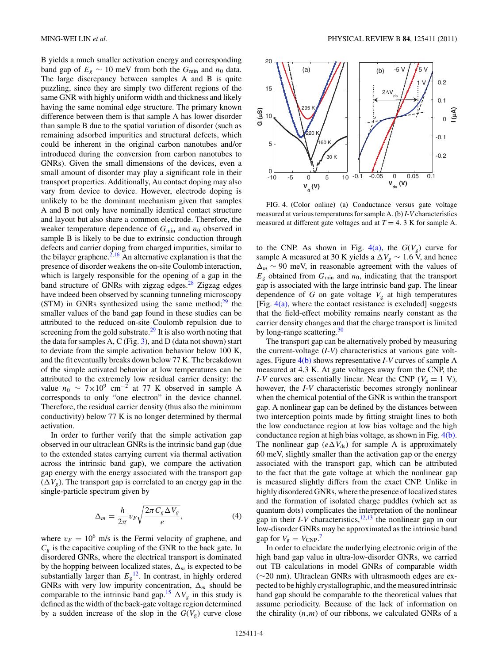B yields a much smaller activation energy and corresponding band gap of  $E_g \sim 10$  meV from both the  $G_{\text{min}}$  and  $n_0$  data. The large discrepancy between samples A and B is quite puzzling, since they are simply two different regions of the same GNR with highly uniform width and thickness and likely having the same nominal edge structure. The primary known difference between them is that sample A has lower disorder than sample B due to the spatial variation of disorder (such as remaining adsorbed impurities and structural defects, which could be inherent in the original carbon nanotubes and/or introduced during the conversion from carbon nanotubes to GNRs). Given the small dimensions of the devices, even a small amount of disorder may play a significant role in their transport properties. Additionally, Au contact doping may also vary from device to device. However, electrode doping is unlikely to be the dominant mechanism given that samples A and B not only have nominally identical contact structure and layout but also share a common electrode. Therefore, the weaker temperature dependence of  $G_{\text{min}}$  and  $n_0$  observed in sample B is likely to be due to extrinsic conduction through defects and carrier doping from charged impurities, similar to the bilayer graphene. $2,16$  An alternative explanation is that the presence of disorder weakens the on-site Coulomb interaction, which is largely responsible for the opening of a gap in the band structure of GNRs with zigzag edges. $28$  Zigzag edges have indeed been observed by scanning tunneling microscopy (STM) in GNRs synthesized using the same method; $^{29}$  $^{29}$  $^{29}$  the smaller values of the band gap found in these studies can be attributed to the reduced on-site Coulomb repulsion due to screening from the gold substrate. $29$  It is also worth noting that the data for samples A, C (Fig. [3\)](#page-2-0), and D (data not shown) start to deviate from the simple activation behavior below 100 K, and the fit eventually breaks down below 77 K. The breakdown of the simple activated behavior at low temperatures can be attributed to the extremely low residual carrier density: the value  $n_0 \sim 7 \times 10^9$  cm<sup>-2</sup> at 77 K observed in sample A corresponds to only "one electron" in the device channel. Therefore, the residual carrier density (thus also the minimum conductivity) below 77 K is no longer determined by thermal activation.

In order to further verify that the simple activation gap observed in our ultraclean GNRs is the intrinsic band gap (due to the extended states carrying current via thermal activation across the intrinsic band gap), we compare the activation gap energy with the energy associated with the transport gap  $(\Delta V_g)$ . The transport gap is correlated to an energy gap in the single-particle spectrum given by

$$
\Delta_m = \frac{h}{2\pi} v_F \sqrt{\frac{2\pi C_g \Delta V_g}{e}},\tag{4}
$$

where  $v_F = 10^6$  m/s is the Fermi velocity of graphene, and  $C_g$  is the capacitive coupling of the GNR to the back gate. In disordered GNRs, where the electrical transport is dominated by the hopping between localized states,  $\Delta_m$  is expected to be substantially larger than  $E_g$ <sup>12</sup>. In contrast, in highly ordered GNRs with very low impurity concentration,  $\Delta_m$  should be comparable to the intrinsic band gap.<sup>[15](#page-6-0)</sup>  $\Delta V_g$  in this study is defined as the width of the back-gate voltage region determined by a sudden increase of the slop in the  $G(V_g)$  curve close



FIG. 4. (Color online) (a) Conductance versus gate voltage measured at various temperatures for sample A. (b) *I-V* characteristics measured at different gate voltages and at  $T = 4$ . 3 K for sample A.

to the CNP. As shown in Fig.  $4(a)$ , the  $G(V<sub>g</sub>)$  curve for sample A measured at 30 K yields a  $\Delta V_g \sim 1.6$  V, and hence  $\Delta_m \sim 90$  meV, in reasonable agreement with the values of  $E<sub>g</sub>$  obtained from  $G<sub>min</sub>$  and  $n<sub>0</sub>$ , indicating that the transport gap is associated with the large intrinsic band gap. The linear dependence of *G* on gate voltage  $V<sub>g</sub>$  at high temperatures [Fig.  $4(a)$ , where the contact resistance is excluded] suggests that the field-effect mobility remains nearly constant as the carrier density changes and that the charge transport is limited by long-range scattering.<sup>[30](#page-6-0)</sup>

The transport gap can be alternatively probed by measuring the current-voltage (*I-V*) characteristics at various gate voltages. Figure 4(b) shows representative *I-V* curves of sample A measured at 4.3 K. At gate voltages away from the CNP, the *I-V* curves are essentially linear. Near the CNP ( $V_g = 1$  V), however, the *I-V* characteristic becomes strongly nonlinear when the chemical potential of the GNR is within the transport gap. A nonlinear gap can be defined by the distances between two interception points made by fitting straight lines to both the low conductance region at low bias voltage and the high conductance region at high bias voltage, as shown in Fig. 4(b). The nonlinear gap  $(e\Delta V_{ds})$  for sample A is approximately 60 meV, slightly smaller than the activation gap or the energy associated with the transport gap, which can be attributed to the fact that the gate voltage at which the nonlinear gap is measured slightly differs from the exact CNP. Unlike in highly disordered GNRs, where the presence of localized states and the formation of isolated charge puddles (which act as quantum dots) complicates the interpretation of the nonlinear gap in their  $I-V$  characteristics,  $\frac{12,13}{12}$  the nonlinear gap in our low-disorder GNRs may be approximated as the intrinsic band gap for  $V_g = V_{CNP}$ .<sup>[7](#page-6-0)</sup>

In order to elucidate the underlying electronic origin of the high band gap value in ultra-low-disorder GNRs, we carried out TB calculations in model GNRs of comparable width (∼20 nm). Ultraclean GNRs with ultrasmooth edges are expected to be highly crystallographic, and the measured intrinsic band gap should be comparable to the theoretical values that assume periodicity. Because of the lack of information on the chirality  $(n,m)$  of our ribbons, we calculated GNRs of a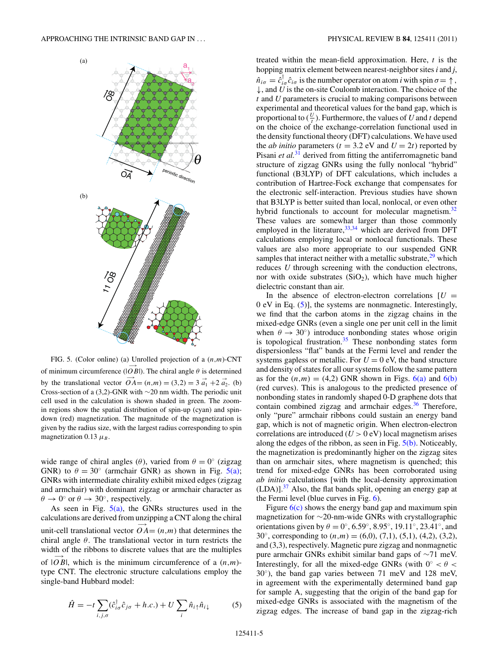<span id="page-4-0"></span>

FIG. 5. (Color online) (a) Unrolled projection of a (*n,m*)-CNT of minimum circumference  $(|\overrightarrow{OB}|)$ . The chiral angle  $\theta$  is determined by the translational vector  $\overrightarrow{OA} = (n,m) = (3,2) = 3 \overrightarrow{a_1} + 2 \overrightarrow{a_2}$ . (b) Cross-section of a (3,2)-GNR with ∼20 nm width. The periodic unit cell used in the calculation is shown shaded in green. The zoomin regions show the spatial distribution of spin-up (cyan) and spindown (red) magnetization. The magnitude of the magnetization is given by the radius size, with the largest radius corresponding to spin magnetization 0.13  $\mu_B$ .

wide range of chiral angles  $(\theta)$ , varied from  $\theta = 0^\circ$  (zigzag GNR) to  $\theta = 30^{\circ}$  (armchair GNR) as shown in Fig. 5(a); GNRs with intermediate chirality exhibit mixed edges (zigzag and armchair) with dominant zigzag or armchair character as  $\theta \to 0^{\circ}$  or  $\theta \to 30^{\circ}$ , respectively.

As seen in Fig.  $5(a)$ , the GNRs structures used in the calculations are derived from unzipping a CNT along the chiral unit-cell translational vector  $\overrightarrow{OA} = (n,m)$  that determines the chiral angle *θ*. The translational vector in turn restricts the width of the ribbons to discrete values that are the multiples of  $|\overrightarrow{OB}|$ , which is the minimum circumference of a  $(n,m)$ -

type CNT. The electronic structure calculations employ the single-band Hubbard model:

$$
\hat{H} = -t \sum_{i,j,\sigma} (\hat{c}_{i\sigma}^{\dagger} \hat{c}_{j\sigma} + h.c.) + U \sum_{i} \hat{n}_{i\uparrow} \hat{n}_{i\downarrow}
$$
 (5)

treated within the mean-field approximation. Here, *t* is the hopping matrix element between nearest-neighbor sites*i* and *j*,  $\hat{n}_{i\sigma} = \hat{c}_{i\sigma}^{\dagger} \hat{c}_{i\sigma}$  is the number operator on atom *i* with spin  $\sigma = \uparrow$ ,  $\downarrow$ , and *U* is the on-site Coulomb interaction. The choice of the *t* and *U* parameters is crucial to making comparisons between experimental and theoretical values for the band gap, which is proportional to  $(\frac{U}{t})$ . Furthermore, the values of *U* and *t* depend on the choice of the exchange-correlation functional used in the density functional theory (DFT) calculations. We have used the *ab initio* parameters ( $t = 3.2$  eV and  $U = 2t$ ) reported by Pisani *et al.*<sup>[31](#page-6-0)</sup> derived from fitting the antiferromagnetic band structure of zigzag GNRs using the fully nonlocal "hybrid" functional (B3LYP) of DFT calculations, which includes a contribution of Hartree-Fock exchange that compensates for the electronic self-interaction. Previous studies have shown that B3LYP is better suited than local, nonlocal, or even other hybrid functionals to account for molecular magnetism.<sup>[32](#page-6-0)</sup> These values are somewhat larger than those commonly employed in the literature, $33,34$  which are derived from DFT calculations employing local or nonlocal functionals. These values are also more appropriate to our suspended GNR samples that interact neither with a metallic substrate, $29$  which reduces *U* through screening with the conduction electrons, nor with oxide substrates  $(SiO<sub>2</sub>)$ , which have much higher dielectric constant than air.

In the absence of electron-electron correlations  $[U =$ 0 eV in Eq. (5)], the systems are nonmagnetic. Interestingly, we find that the carbon atoms in the zigzag chains in the mixed-edge GNRs (even a single one per unit cell in the limit when  $\theta \rightarrow 30^{\circ}$ ) introduce nonbonding states whose origin is topological frustration. $35$  These nonbonding states form dispersionless "flat" bands at the Fermi level and render the systems gapless or metallic. For  $U = 0$  eV, the band structure and density of states for all our systems follow the same pattern as for the  $(n,m) = (4,2)$  GNR shown in Figs.  $6(a)$  and  $6(b)$ (red curves). This is analogous to the predicted presence of nonbonding states in randomly shaped 0-D graphene dots that contain combined zigzag and armchair edges. $36$  Therefore, only "pure" armchair ribbons could sustain an energy band gap, which is not of magnetic origin. When electron-electron correlations are introduced  $(U > 0$  eV) local magnetism arises along the edges of the ribbon, as seen in Fig.  $5(b)$ . Noticeably, the magnetization is predominantly higher on the zigzag sites than on armchair sites, where magnetism is quenched; this trend for mixed-edge GNRs has been corroborated using *ab initio* calculations [with the local-density approximation  $(LDA)$ ].<sup>37</sup> Also, the flat bands split, opening an energy gap at the Fermi level (blue curves in Fig. [6\)](#page-5-0).

Figure  $6(c)$  shows the energy band gap and maximum spin magnetization for ∼20-nm-wide GNRs with crystallographic orientations given by  $\theta = 0^\circ$ , 6.59°, 8.95°, 19.11°, 23.41°, and 30°, corresponding to  $(n,m) = (6,0), (7,1), (5,1), (4,2), (3,2),$ and (3,3), respectively. Magnetic pure zigzag and nonmagnetic pure armchair GNRs exhibit similar band gaps of ∼71 meV. Interestingly, for all the mixed-edge GNRs (with  $0° < \theta <$ 30◦), the band gap varies between 71 meV and 128 meV, in agreement with the experimentally determined band gap for sample A, suggesting that the origin of the band gap for mixed-edge GNRs is associated with the magnetism of the zigzag edges. The increase of band gap in the zigzag-rich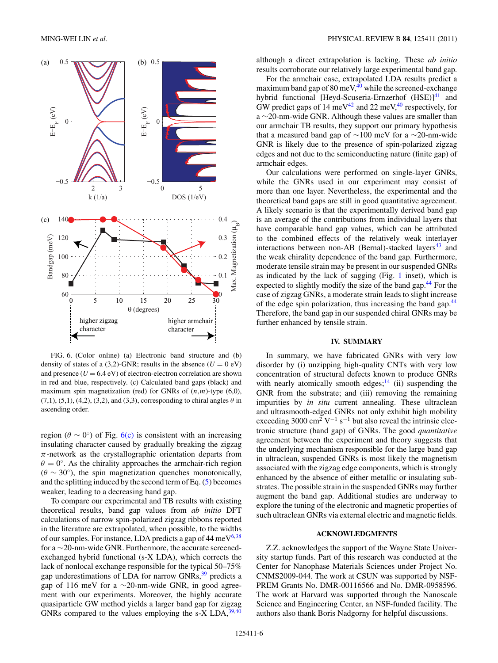<span id="page-5-0"></span>

FIG. 6. (Color online) (a) Electronic band structure and (b) density of states of a (3,2)-GNR; results in the absence  $(U = 0$  eV) and presence  $(U = 6.4$  eV) of electron-electron correlation are shown in red and blue, respectively. (c) Calculated band gaps (black) and maximum spin magnetization (red) for GNRs of (*n,m*)-type (6,0),  $(7,1)$ ,  $(5,1)$ ,  $(4,2)$ ,  $(3,2)$ , and  $(3,3)$ , corresponding to chiral angles  $\theta$  in ascending order.

region ( $\theta \sim 0^{\circ}$ ) of Fig. 6(c) is consistent with an increasing insulating character caused by gradually breaking the zigzag  $\pi$ -network as the crystallographic orientation departs from  $\theta = 0^\circ$ . As the chirality approaches the armchair-rich region  $(\theta \sim 30^{\circ})$ , the spin magnetization quenches monotonically, and the splitting induced by the second term of Eq. [\(5\)](#page-4-0) becomes weaker, leading to a decreasing band gap.

To compare our experimental and TB results with existing theoretical results, band gap values from *ab initio* DFT calculations of narrow spin-polarized zigzag ribbons reported in the literature are extrapolated, when possible, to the widths of our samples. For instance, LDA predicts a gap of  $44 \text{ meV}^{6,38}$  $44 \text{ meV}^{6,38}$  $44 \text{ meV}^{6,38}$ for a ∼20-nm-wide GNR. Furthermore, the accurate screenedexchanged hybrid functional (s-X LDA), which corrects the lack of nonlocal exchange responsible for the typical 50–75% gap underestimations of LDA for narrow  $GNRs$ ,  $39$  predicts a gap of 116 meV for a ∼20-nm-wide GNR, in good agreement with our experiments. Moreover, the highly accurate quasiparticle GW method yields a larger band gap for zigzag GNRs compared to the values employing the s-X LDA,  $39,40$  although a direct extrapolation is lacking. These *ab initio* results corroborate our relatively large experimental band gap.

For the armchair case, extrapolated LDA results predict a maximum band gap of  $80 \text{ meV},^{40}$  while the screened-exchange hybrid functional [Heyd-Scuseria-Ernzerhof (HSE)]<sup>41</sup> and GW predict gaps of 14 meV<sup>[42](#page-6-0)</sup> and 22 meV,<sup>[40](#page-6-0)</sup> respectively, for a ∼20-nm-wide GNR. Although these values are smaller than our armchair TB results, they support our primary hypothesis that a measured band gap of ∼100 meV for a ∼20-nm-wide GNR is likely due to the presence of spin-polarized zigzag edges and not due to the semiconducting nature (finite gap) of armchair edges.

Our calculations were performed on single-layer GNRs, while the GNRs used in our experiment may consist of more than one layer. Nevertheless, the experimental and the theoretical band gaps are still in good quantitative agreement. A likely scenario is that the experimentally derived band gap is an average of the contributions from individual layers that have comparable band gap values, which can be attributed to the combined effects of the relatively weak interlayer interactions between non-AB (Bernal)-stacked layers<sup>[43](#page-6-0)</sup> and the weak chirality dependence of the band gap. Furthermore, moderate tensile strain may be present in our suspended GNRs as indicated by the lack of sagging (Fig. [1](#page-1-0) inset), which is expected to slightly modify the size of the band gap. $44$  For the case of zigzag GNRs, a moderate strain leads to slight increase of the edge spin polarization, thus increasing the band gap.<sup>[44](#page-6-0)</sup> Therefore, the band gap in our suspended chiral GNRs may be further enhanced by tensile strain.

### **IV. SUMMARY**

In summary, we have fabricated GNRs with very low disorder by (i) unzipping high-quality CNTs with very low concentration of structural defects known to produce GNRs with nearly atomically smooth edges; $14$  (ii) suspending the GNR from the substrate; and (iii) removing the remaining impurities by *in situ* current annealing. These ultraclean and ultrasmooth-edged GNRs not only exhibit high mobility exceeding 3000 cm<sup>2</sup> V<sup>-1</sup> s<sup>-1</sup> but also reveal the intrinsic electronic structure (band gap) of GNRs. The good *quantitative* agreement between the experiment and theory suggests that the underlying mechanism responsible for the large band gap in ultraclean, suspended GNRs is most likely the magnetism associated with the zigzag edge components, which is strongly enhanced by the absence of either metallic or insulating substrates. The possible strain in the suspended GNRs may further augment the band gap. Additional studies are underway to explore the tuning of the electronic and magnetic properties of such ultraclean GNRs via external electric and magnetic fields.

### **ACKNOWLEDGMENTS**

Z.Z. acknowledges the support of the Wayne State University startup funds. Part of this research was conducted at the Center for Nanophase Materials Sciences under Project No. CNMS2009-044. The work at CSUN was supported by NSF-PREM Grants No. DMR-00116566 and No. DMR-0958596. The work at Harvard was supported through the Nanoscale Science and Engineering Center, an NSF-funded facility. The authors also thank Boris Nadgorny for helpful discussions.